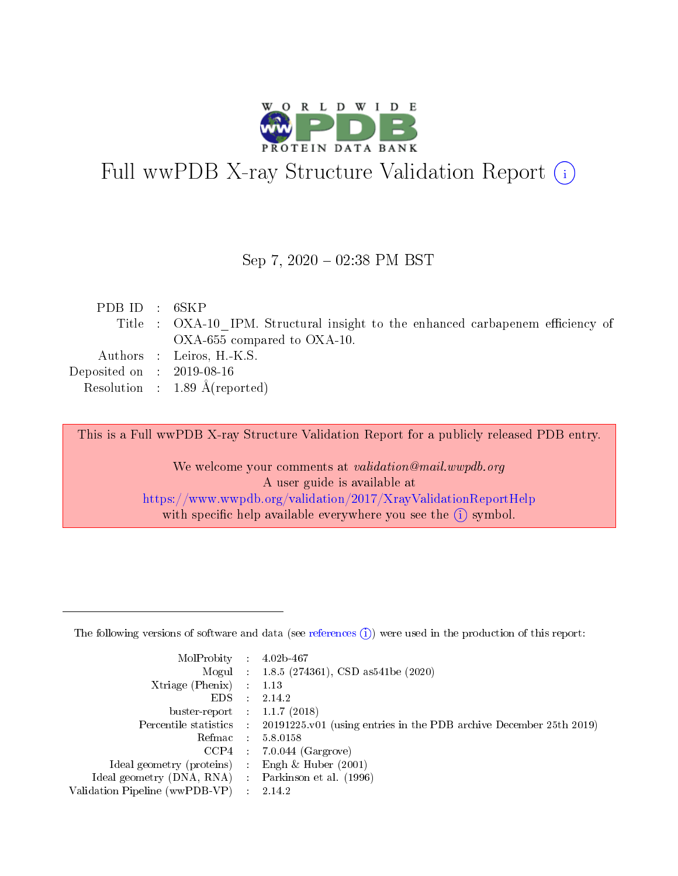

# Full wwPDB X-ray Structure Validation Report (i)

#### Sep 7,  $2020 - 02:38$  PM BST

| PDBID : 6SKP                         |                                                                                 |
|--------------------------------------|---------------------------------------------------------------------------------|
|                                      | Title : OXA-10 IPM. Structural insight to the enhanced carbapenem efficiency of |
|                                      | OXA-655 compared to OXA-10.                                                     |
|                                      | Authors : Leiros, H.-K.S.                                                       |
| Deposited on $\therefore$ 2019-08-16 |                                                                                 |
|                                      | Resolution : 1.89 $\AA$ (reported)                                              |
|                                      |                                                                                 |

This is a Full wwPDB X-ray Structure Validation Report for a publicly released PDB entry.

We welcome your comments at validation@mail.wwpdb.org A user guide is available at <https://www.wwpdb.org/validation/2017/XrayValidationReportHelp> with specific help available everywhere you see the  $(i)$  symbol.

The following versions of software and data (see [references](https://www.wwpdb.org/validation/2017/XrayValidationReportHelp#references)  $(1)$ ) were used in the production of this report:

| MolProbity                     | $\mathcal{L}^{\mathcal{L}}$ | $4.02b - 467$                                                      |
|--------------------------------|-----------------------------|--------------------------------------------------------------------|
|                                |                             | Mogul : $1.8.5$ (274361), CSD as 541be (2020)                      |
| $X$ triage (Phenix) :          |                             | 1.13                                                               |
| EDS.                           |                             | 2.14.2                                                             |
| buster-report : $1.1.7$ (2018) |                             |                                                                    |
| Percentile statistics :        |                             | 20191225.v01 (using entries in the PDB archive December 25th 2019) |
| Refmac                         | $\sim 100$                  | 5.8.0158                                                           |
| CCP4                           |                             | $7.0.044$ (Gargrove)                                               |
| Ideal geometry (proteins)      |                             | Engh $\&$ Huber (2001)                                             |
| Ideal geometry (DNA, RNA) :    |                             | Parkinson et al. (1996)                                            |
| Validation Pipeline (wwPDB-VP) | -11                         | 2.14.2                                                             |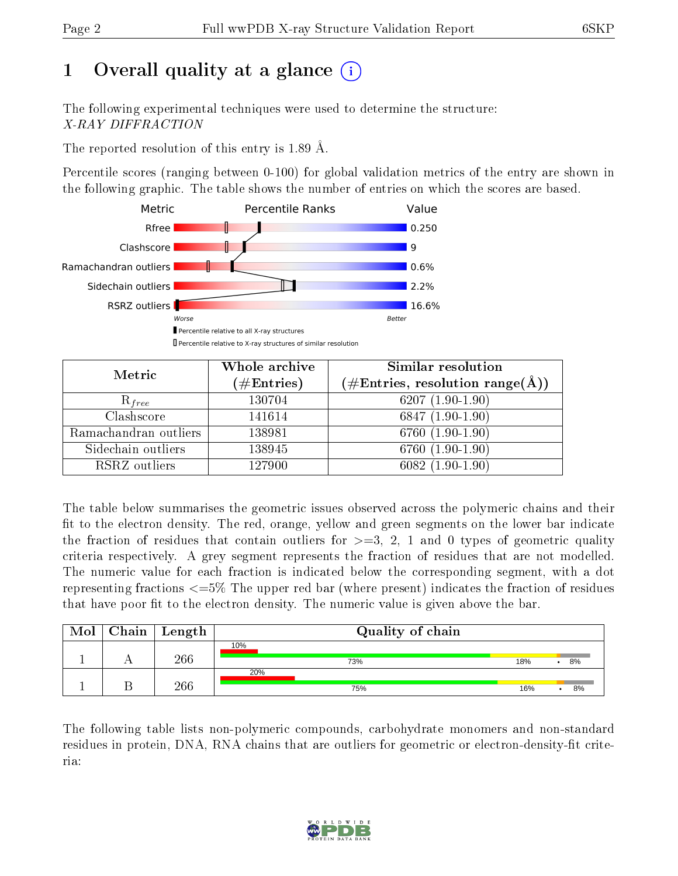# 1 [O](https://www.wwpdb.org/validation/2017/XrayValidationReportHelp#overall_quality)verall quality at a glance  $(i)$

The following experimental techniques were used to determine the structure: X-RAY DIFFRACTION

The reported resolution of this entry is 1.89 Å.

Percentile scores (ranging between 0-100) for global validation metrics of the entry are shown in the following graphic. The table shows the number of entries on which the scores are based.



| Metric                | Whole archive<br>$(\#\text{Entries})$ | Similar resolution<br>$(\#\text{Entries}, \text{resolution range}(\text{\AA}))$ |
|-----------------------|---------------------------------------|---------------------------------------------------------------------------------|
| $R_{free}$            | 130704                                | $6207(1.90-1.90)$                                                               |
| Clashscore            | 141614                                | $6847(1.90-1.90)$                                                               |
| Ramachandran outliers | 138981                                | $6760(1.90-1.90)$                                                               |
| Sidechain outliers    | 138945                                | $6760(1.90-1.90)$                                                               |
| RSRZ outliers         | 127900                                | $6082(1.90-1.90)$                                                               |

The table below summarises the geometric issues observed across the polymeric chains and their fit to the electron density. The red, orange, yellow and green segments on the lower bar indicate the fraction of residues that contain outliers for  $\geq=3$ , 2, 1 and 0 types of geometric quality criteria respectively. A grey segment represents the fraction of residues that are not modelled. The numeric value for each fraction is indicated below the corresponding segment, with a dot representing fractions  $\epsilon=5\%$  The upper red bar (where present) indicates the fraction of residues that have poor fit to the electron density. The numeric value is given above the bar.

| $\text{Mol}$ | $\vert$ Chain $\vert$ Length | Quality of chain |     |    |
|--------------|------------------------------|------------------|-----|----|
|              | 266                          | 10%<br>73%       | 18% | 8% |
|              | 266                          | 20%<br>75%       | 16% | 8% |

The following table lists non-polymeric compounds, carbohydrate monomers and non-standard residues in protein, DNA, RNA chains that are outliers for geometric or electron-density-fit criteria:

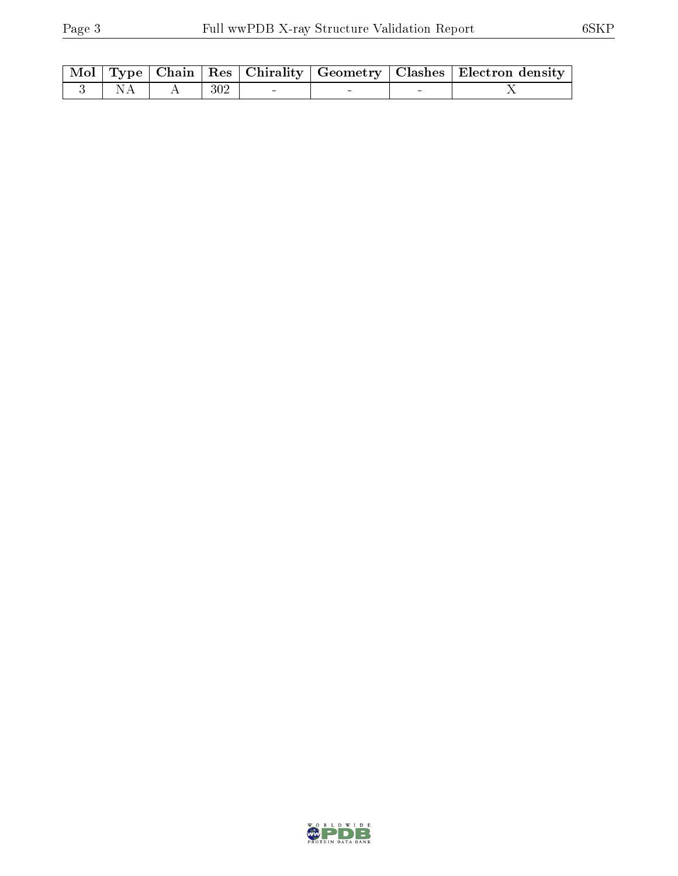|           |         |  |  | Mol   Type   Chain   Res   Chirality   Geometry   Clashes   Electron density |
|-----------|---------|--|--|------------------------------------------------------------------------------|
| $-3$   NA | A   302 |  |  |                                                                              |

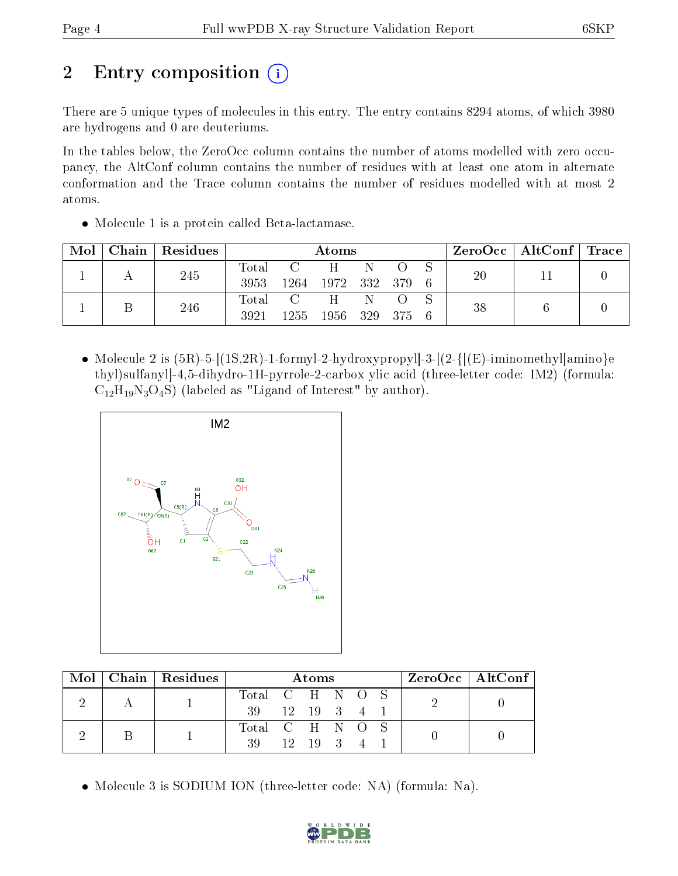# 2 Entry composition (i)

There are 5 unique types of molecules in this entry. The entry contains 8294 atoms, of which 3980 are hydrogens and 0 are deuteriums.

In the tables below, the ZeroOcc column contains the number of atoms modelled with zero occupancy, the AltConf column contains the number of residues with at least one atom in alternate conformation and the Trace column contains the number of residues modelled with at most 2 atoms.

• Molecule 1 is a protein called Beta-lactamase.

| Mol | Chain   Residues | Atoms         |                                                              |                        |   | $\rm ZeroOcc$   Alt $\rm Conf$   Trace |     |    |    |  |
|-----|------------------|---------------|--------------------------------------------------------------|------------------------|---|----------------------------------------|-----|----|----|--|
|     | 245              | Total<br>3953 | $\mathbf{C}$                                                 | H<br>1264 1972 332 379 | N |                                        |     | 20 | 11 |  |
|     | 246              | Total<br>3921 | $\overline{C}$ and $\overline{C}$ and $\overline{C}$<br>1255 | H<br>1956 329          | N | - 375                                  | - 6 | 38 |    |  |

• Molecule 2 is  $(5R)$ -5- $[(1S, 2R)$ -1-formyl-2-hydroxypropyl]-3- $[(2-\{[(E)\text{-}\v{i}minomethyl]amino\}e$ thyl)sulfanyl]-4,5-dihydro-1H-pyrrole-2-carbox ylic acid (three-letter code: IM2) (formula:  $C_{12}H_{19}N_3O_4S$ ) (labeled as "Ligand of Interest" by author).



|  | $Mol$   Chain   Residues |                 |           | Atoms                 |  |  | ZeroOcc   AltConf |  |
|--|--------------------------|-----------------|-----------|-----------------------|--|--|-------------------|--|
|  |                          | Total C H N O S |           |                       |  |  |                   |  |
|  |                          | -39 -           | 12 19 3 4 |                       |  |  |                   |  |
|  |                          | Total C H N O S |           |                       |  |  |                   |  |
|  |                          | 39              |           | $12 \quad 19 \quad 3$ |  |  |                   |  |

Molecule 3 is SODIUM ION (three-letter code: NA) (formula: Na).

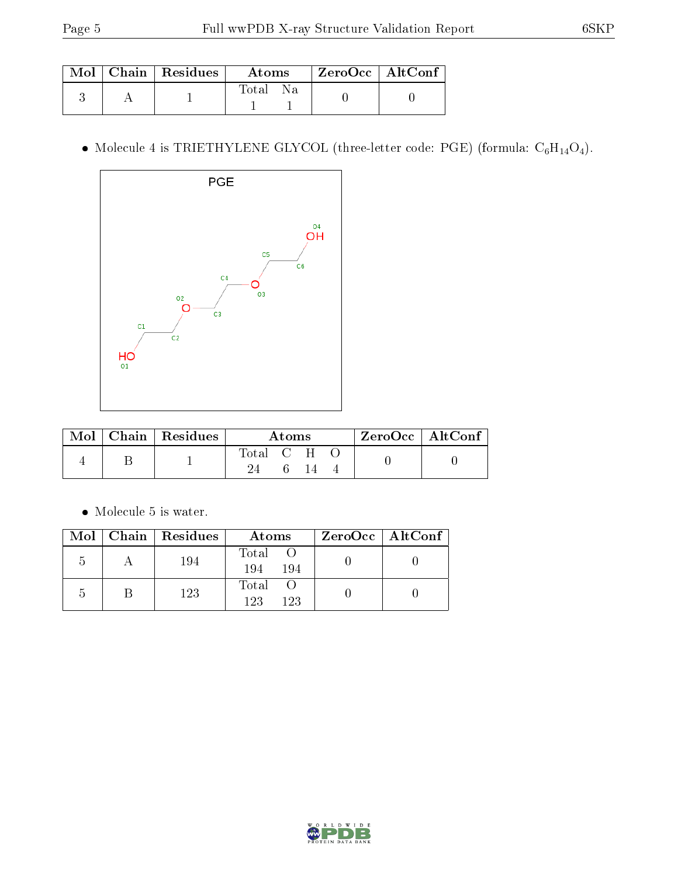|  | Mol   Chain   Residues | <b>Atoms</b> | $\mid$ ZeroOcc $\mid$ AltConf |  |
|--|------------------------|--------------|-------------------------------|--|
|  |                        | Na.<br>Fotal |                               |  |

 $\bullet$  Molecule 4 is TRIETHYLENE GLYCOL (three-letter code: PGE) (formula:  $\mathrm{C}_6\mathrm{H}_{14}\mathrm{O}_4).$ 



| $\bf{Mol} \perp$ | $\mid$ Chain $\mid$ Residues | Atoms     |  |  | $ZeroOcc \mid AltConf \mid$ |  |
|------------------|------------------------------|-----------|--|--|-----------------------------|--|
|                  |                              | Total C H |  |  |                             |  |
|                  |                              |           |  |  |                             |  |

 $\bullet\,$  Molecule 5 is water.

|   | Mol   Chain   Residues | Atoms               | $ZeroOcc \mid AltConf \mid$ |
|---|------------------------|---------------------|-----------------------------|
| 5 | 194                    | Total<br>194<br>194 |                             |
| h | 123                    | Total<br>123<br>123 |                             |

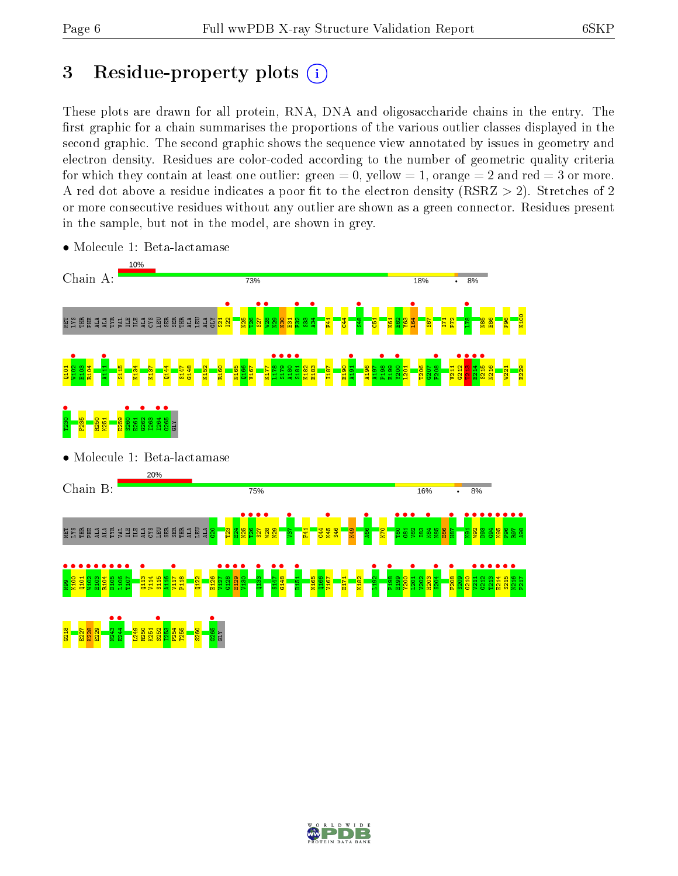# 3 Residue-property plots  $(i)$

These plots are drawn for all protein, RNA, DNA and oligosaccharide chains in the entry. The first graphic for a chain summarises the proportions of the various outlier classes displayed in the second graphic. The second graphic shows the sequence view annotated by issues in geometry and electron density. Residues are color-coded according to the number of geometric quality criteria for which they contain at least one outlier: green  $= 0$ , yellow  $= 1$ , orange  $= 2$  and red  $= 3$  or more. A red dot above a residue indicates a poor fit to the electron density ( $RSRZ > 2$ ). Stretches of 2 or more consecutive residues without any outlier are shown as a green connector. Residues present in the sample, but not in the model, are shown in grey.



• Molecule 1: Beta-lactamase

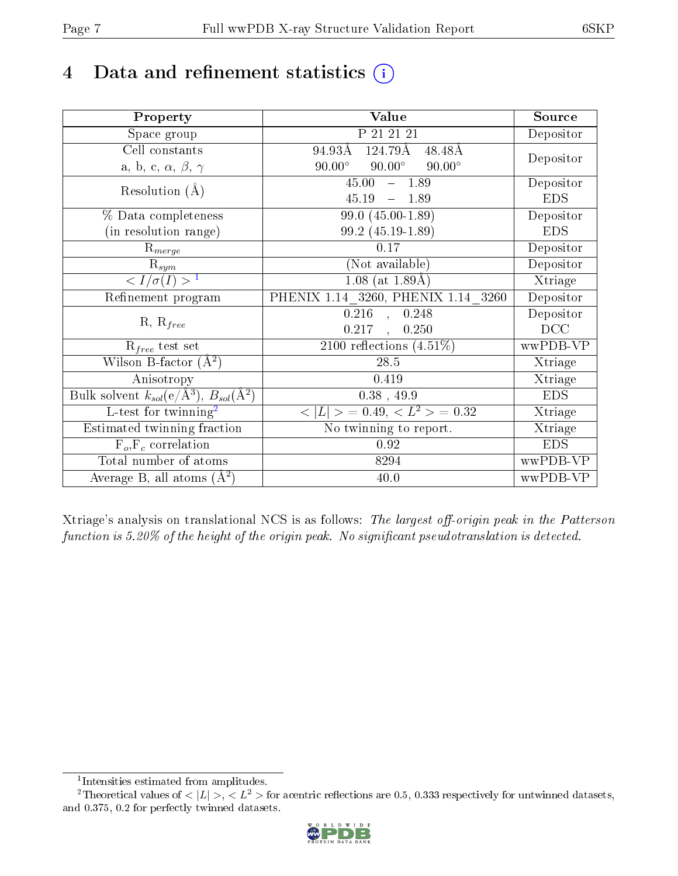## 4 Data and refinement statistics  $(i)$

| Property                                                             | Value                                           | Source     |
|----------------------------------------------------------------------|-------------------------------------------------|------------|
| Space group                                                          | P 21 21 21                                      | Depositor  |
| Cell constants                                                       | 124.79Å<br>94.93Å<br>48.48Å                     | Depositor  |
| a, b, c, $\alpha$ , $\beta$ , $\gamma$                               | $90.00^\circ$<br>$90.00^\circ$<br>$90.00^\circ$ |            |
| Resolution $(A)$                                                     | 45.00<br>1.89<br>$\frac{1}{2}$                  | Depositor  |
|                                                                      | 45.19<br>$-1.89$                                | <b>EDS</b> |
| % Data completeness                                                  | $99.0(45.00-1.89)$                              | Depositor  |
| (in resolution range)                                                | 99.2 (45.19-1.89)                               | <b>EDS</b> |
| $R_{merge}$                                                          | 0.17                                            | Depositor  |
| $\mathrm{R}_{sym}$                                                   | $(No\bar{t}$ available)                         | Depositor  |
| $\langle I/\sigma(I) \rangle$ <sup>1</sup>                           | $\overline{1.08}$ (at $\overline{1.89A}$ )      | Xtriage    |
| Refinement program                                                   | PHENIX 1.14 3260, PHENIX 1.14 3260              | Depositor  |
| $R, R_{free}$                                                        | $\overline{0.216}$ , 0.248                      | Depositor  |
|                                                                      | $0.217$ ,<br>0.250                              | DCC        |
| $R_{free}$ test set                                                  | 2100 reflections $(4.51\%)$                     | wwPDB-VP   |
| Wilson B-factor $(A^2)$                                              | $28.5\,$                                        | Xtriage    |
| Anisotropy                                                           | 0.419                                           | Xtriage    |
| Bulk solvent $k_{sol}(e/\mathring{A}^3)$ , $B_{sol}(\mathring{A}^2)$ | $0.38$ , 49.9                                   | <b>EDS</b> |
| L-test for twinning <sup>2</sup>                                     | $< L >$ = 0.49, $< L2$ = 0.32                   | Xtriage    |
| Estimated twinning fraction                                          | No twinning to report.                          | Xtriage    |
| $F_o, F_c$ correlation                                               | 0.92                                            | <b>EDS</b> |
| Total number of atoms                                                | 8294                                            | wwPDB-VP   |
| Average B, all atoms $(A^2)$                                         | 40.0                                            | wwPDB-VP   |

Xtriage's analysis on translational NCS is as follows: The largest off-origin peak in the Patterson function is  $5.20\%$  of the height of the origin peak. No significant pseudotranslation is detected.

<sup>&</sup>lt;sup>2</sup>Theoretical values of  $\langle |L| \rangle$ ,  $\langle L^2 \rangle$  for acentric reflections are 0.5, 0.333 respectively for untwinned datasets, and 0.375, 0.2 for perfectly twinned datasets.



<span id="page-6-1"></span><span id="page-6-0"></span><sup>1</sup> Intensities estimated from amplitudes.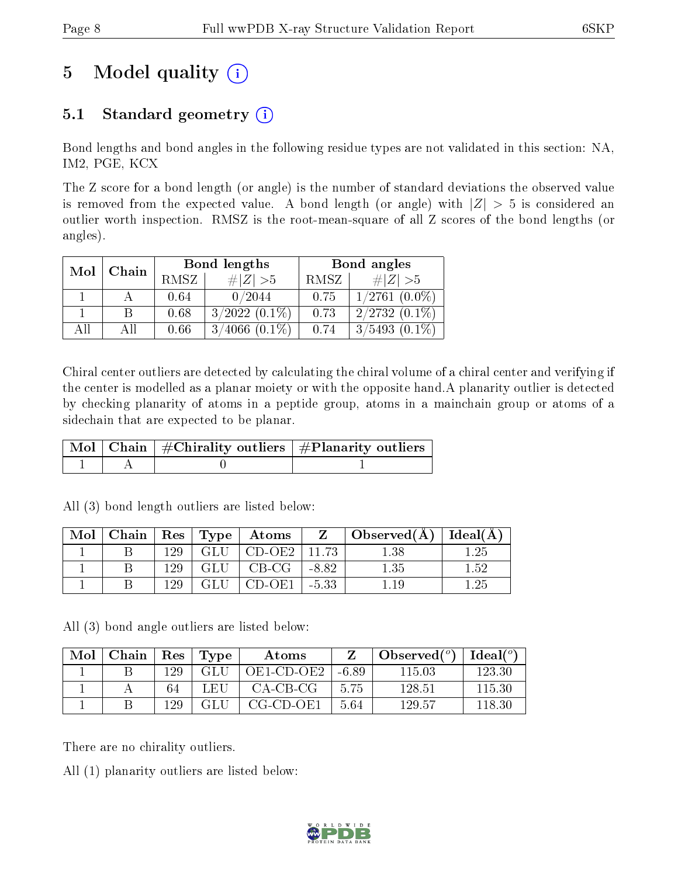# 5 Model quality  $(i)$

## 5.1 Standard geometry  $(i)$

Bond lengths and bond angles in the following residue types are not validated in this section: NA, IM2, PGE, KCX

The Z score for a bond length (or angle) is the number of standard deviations the observed value is removed from the expected value. A bond length (or angle) with  $|Z| > 5$  is considered an outlier worth inspection. RMSZ is the root-mean-square of all Z scores of the bond lengths (or angles).

| Mol | Chain |      | Bond lengths       | Bond angles |                    |  |
|-----|-------|------|--------------------|-------------|--------------------|--|
|     |       | RMSZ | $\# Z >5$          | RMSZ        | # $ Z  > 5$        |  |
|     |       | 0.64 | 0/2044             | 0.75        | $1/2761$ $(0.0\%)$ |  |
|     |       | 0.68 | $3/2022$ $(0.1\%)$ | 0.73        | $2/2732(0.1\%)$    |  |
| AĦ  | АH    | 0.66 | $3/4066$ $(0.1\%)$ | 0.74        | $3/5493(0.1\%)$    |  |

Chiral center outliers are detected by calculating the chiral volume of a chiral center and verifying if the center is modelled as a planar moiety or with the opposite hand.A planarity outlier is detected by checking planarity of atoms in a peptide group, atoms in a mainchain group or atoms of a sidechain that are expected to be planar.

|  | $\mid$ Mol $\mid$ Chain $\mid$ #Chirality outliers $\mid$ #Planarity outliers $'$ |
|--|-----------------------------------------------------------------------------------|
|  |                                                                                   |

| Mol |      |                   | Chain   Res   Type   Atoms | Z       | Observed( $\AA$ )   Ideal( $\AA$ ) |      |
|-----|------|-------------------|----------------------------|---------|------------------------------------|------|
|     | 129. | $\sim$ GLU $^{+}$ | CD-OE2                     | 11 73   | ' .38                              | 1.25 |
|     | 129  | GLU               | CB-CG                      | -8.82   | 1.35                               | 1.52 |
|     | 129  | GLU               | CD-OE1                     | 1 -5.33 | l .19                              | 1.25 |

All (3) bond length outliers are listed below:

All (3) bond angle outliers are listed below:

| Mol | Chain |      | $Res$ Type | Atoms      |       | $\lambda$ Observed $(^\circ)$ | $\text{Ideal}(\textsuperscript{o})$ |
|-----|-------|------|------------|------------|-------|-------------------------------|-------------------------------------|
|     |       | 129  | GLU        | OE1-CD-OE2 | -6.89 | 115 03                        | 123-30                              |
|     |       | 64   | LEH        | CA-CB-CG   | 5.75  | 128.51                        | 115.30                              |
|     |       | 129. | GLU        | CG-CD-OE1  | 5.64  | 129.57                        | 118.30                              |

There are no chirality outliers.

All (1) planarity outliers are listed below:

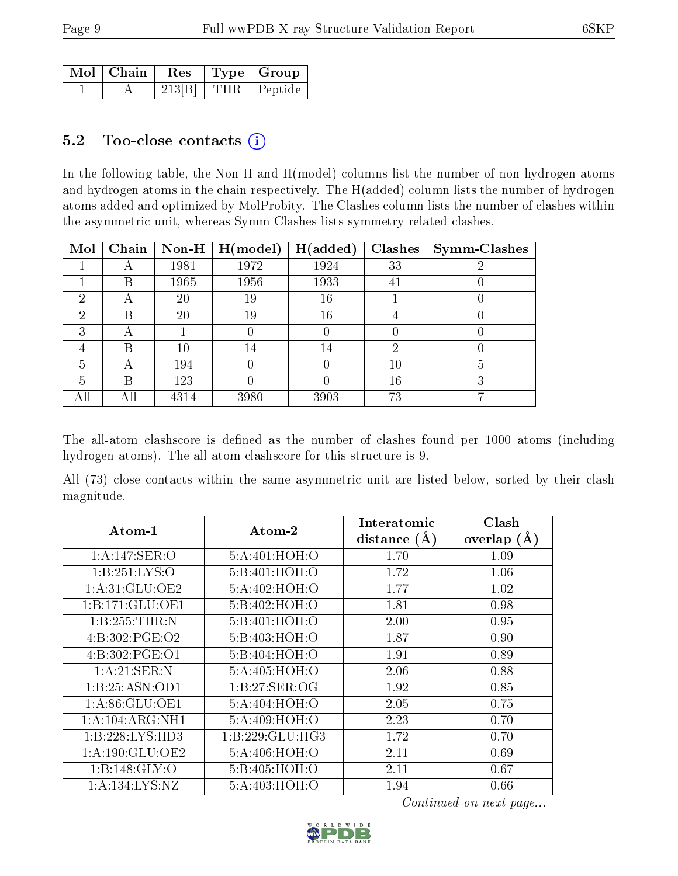| $\mid$ Mol $\mid$ Chain | $\perp$ Res . |  | $\vert$ Type $\vert$ Group $\vert$ |
|-------------------------|---------------|--|------------------------------------|
|                         | 213 B         |  | THR   Peptide                      |

### 5.2 Too-close contacts  $(i)$

In the following table, the Non-H and H(model) columns list the number of non-hydrogen atoms and hydrogen atoms in the chain respectively. The H(added) column lists the number of hydrogen atoms added and optimized by MolProbity. The Clashes column lists the number of clashes within the asymmetric unit, whereas Symm-Clashes lists symmetry related clashes.

| Mol | Chain | Non-H | H (model) | H(added) | Clashes | <b>Symm-Clashes</b> |
|-----|-------|-------|-----------|----------|---------|---------------------|
|     | 宀     | 1981  | 1972      | 1924     | 33      |                     |
|     | В     | 1965  | 1956      | 1933     | 41      |                     |
| 2   | Α     | 20    | 19        | 16       |         |                     |
| 2   | В     | 20    | 19        | 16       | 4       |                     |
| 3   | А     |       |           |          | U       |                     |
| 4   | В     | 10    | 14        | 14       | 2       |                     |
| 5   | А     | 194   |           |          | 10      | 5                   |
| 5   | В     | 123   |           |          | 16      | 3                   |
| All | All   | 4314  | 3980      | 3903     | 73      |                     |

The all-atom clashscore is defined as the number of clashes found per 1000 atoms (including hydrogen atoms). The all-atom clashscore for this structure is 9.

All (73) close contacts within the same asymmetric unit are listed below, sorted by their clash magnitude.

| $\boldsymbol{\mathrm{Atom}\text{-}1}$ | Atom-2              | Interatomic      | Clash         |
|---------------------------------------|---------------------|------------------|---------------|
|                                       |                     | distance $(\AA)$ | overlap $(A)$ |
| 1:A:147:SER:O                         | 5:A:401:HOH:O       | 1.70             | 1.09          |
| 1: B: 251: LYS:O                      | 5:B:401:HOH:O       | 1.72             | 1.06          |
| 1:A:31:GLU:OE2                        | 5:A:402:HOH:O       | 1.77             | 1.02          |
| 1:B:171:GLU:OE1                       | 5:B:402:HOH:O       | 1.81             | 0.98          |
| 1:B:255:THR:N                         | 5:B:401:HOH:O       | 2.00             | 0.95          |
| 4:B:302:PGE:O2                        | 5:B:403:HOH:O       | 1.87             | 0.90          |
| 4:B:302:PGE:O1                        | 5:B:404:HOH:O       | 1.91             | 0.89          |
| 1:A:21:SER:N                          | 5:A:405:HOH:O       | 2.06             | 0.88          |
| 1:B:25:ASN:OD1                        | 1:B:27:SER:OG       | 1.92             | 0.85          |
| 1: A:86: GLU:OE1                      | 5:A:404:HOH:O       | 2.05             | 0.75          |
| 1: A:104: ARG:NH1                     | 5:A:409:HOH:O       | 2.23             | 0.70          |
| 1:B:228:LYS:HD3                       | 1: B: 229: GLU: HG3 | 1.72             | 0.70          |
| 1: A:190: GLU:OE2                     | 5:A:406:HOH:O       | 2.11             | 0.69          |
| 1:B:148:GLY:O                         | 5:B:405:HOH:O       | 2.11             | 0.67          |
| 1: A: 134: LYS: NZ                    | 5:A:403:HOH:O       | 1.94             | 0.66          |

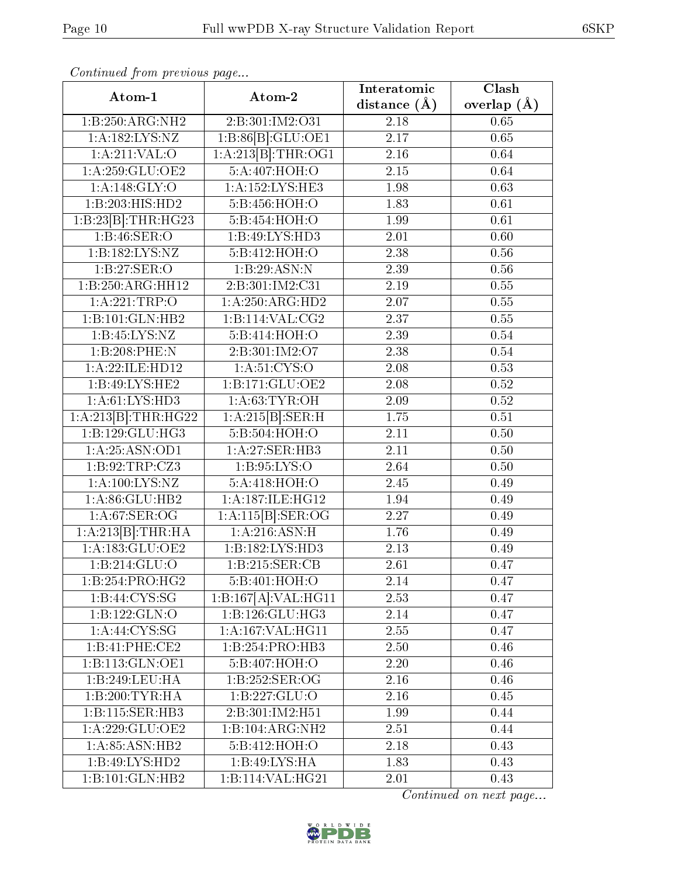| Continuea from previous page |                     | Interatomic       | Clash             |  |
|------------------------------|---------------------|-------------------|-------------------|--|
| Atom-1                       | Atom-2              | distance $(\AA)$  | overlap $(\AA)$   |  |
| 1:B:250:ARG:NH2              | 2:B:301:IM2:O31     | 2.18              | 0.65              |  |
| 1: A:182:LYS:NZ              | 1:B:86[B]:GLU:OE1   | 2.17              | 0.65              |  |
| 1:A:211:VAL:O                | 1:A:213[B]:THR:OG1  | 2.16              | 0.64              |  |
| 1:A:259:GLU:OE2              | 5:A:407:HOH:O       | 2.15              | 0.64              |  |
| 1:A:148:GLY:O                | 1: A: 152: LYS: HE3 | 1.98              | 0.63              |  |
| 1:B:203:HIS:HD2              | 5:B:456:HOH:O       | 1.83              | 0.61              |  |
| 1:B:23[B]:THR:HG23           | 5:B:454:HOH:O       | 1.99              | 0.61              |  |
| 1:B:46:SER:O                 | 1:B:49:LYS:HD3      | 2.01              | 0.60              |  |
| 1:B:182:LYS:NZ               | 5:BA12:HOH:O        | 2.38              | 0.56              |  |
| 1:B:27:SER:O                 | 1:B:29:ASN:N        | 2.39              | 0.56              |  |
| 1:B:250:ARG:HH12             | 2:B:301:IM2:C31     | 2.19              | 0.55              |  |
| 1:A:221:TRP:O                | 1:A:250:ARG:HD2     | $\overline{2.07}$ | 0.55              |  |
| 1:B:101:GLN:HB2              | 1:B:114:VAL:CG2     | 2.37              | 0.55              |  |
| 1: B: 45: LYS: NZ            | 5:B:414:HOH:O       | 2.39              | $0.54\,$          |  |
| 1:B:208:PHE:N                | 2:B:301:IM2:O7      | 2.38              | 0.54              |  |
| 1:A:22:ILE:HD12              | 1: A:51: CYS:O      | 2.08              | 0.53              |  |
| 1:B:49:LYS:HE2               | 1:B:171:GLU:OE2     | 2.08              | 0.52              |  |
| 1: A: 61: LYS: HD3           | 1: A:63:TYR:OH      | 2.09              | 0.52              |  |
| 1:A:213[B]:THR:HG22          | 1:A:215[B]:SER:H    | $\overline{1.75}$ | $\overline{0.51}$ |  |
| 1:B:129:GLU:HG3              | 5:B:504:HOH:O       | 2.11              | 0.50              |  |
| 1: A:25:ASN:OD1              | 1:A:27:SER:HB3      | 2.11              | 0.50              |  |
| 1:B:92:TRP:CZ3               | 1:B:95:LYS:O        | 2.64              | 0.50              |  |
| 1: A:100: LYS: NZ            | 5:A:418:HOH:O       | 2.45              | 0.49              |  |
| 1:A:86:GLU:HB2               | 1:A:187:ILE:HG12    | 1.94              | 0.49              |  |
| 1: A:67: SER:OG              | 1:A:115[B]:SER:OG   | 2.27              | 0.49              |  |
| 1:A:213[B]:THR:HA            | 1:A:216:ASN:H       | 1.76              | 0.49              |  |
| 1: A: 183: GLU: OE2          | 1:B:182:LYS:HD3     | 2.13              | 0.49              |  |
| 1:B:214:GLU:O                | 1:B:215:SER:CB      | 2.61              | 0.47              |  |
| 1:B:254:PRO:HG2              | 5:B:401:HOH:O       | 2.14              | 0.47              |  |
| 1: B: 44: CYS: SG            | 1:B:167[A]:VAL:HG11 | 2.53              | 0.47              |  |
| 1:B:122:GLN:O                | 1:B:126:GLU:HG3     | 2.14              | 0.47              |  |
| 1: A:44: CYS:SG              | 1: A:167: VAL:HGI1  | 2.55              | 0.47              |  |
| 1:B:41:PHE:CE2               | 1:B:254:PRO:HB3     | 2.50              | 0.46              |  |
| 1:B:113:GLN:OE1              | 5:B:407:HOH:O       | 2.20              | 0.46              |  |
| 1:B:249:LEU:HA               | 1:B:252:SER:OG      | 2.16              | 0.46              |  |
| $1:B:200:TTYR:H\overline{A}$ | 1:B:227:GLU:O       | 2.16              | 0.45              |  |
| 1:B:115:SER:HB3              | 2:B:301:IM2:H51     | 1.99              | 0.44              |  |
| 1: A:229: GLU:OE2            | 1:B:104:ARG:NH2     | 2.51              | 0.44              |  |
| 1:A:85:ASN:HB2               | 5:B:412:HOH:O       | 2.18              | 0.43              |  |
| 1:B:49:LYS:HD2               | 1:B:49:LYS:HA       | 1.83              | 0.43              |  |
| 1:B:101:GLN:HB2              | 1:B:114:VAL:HG21    | 2.01              | 0.43              |  |

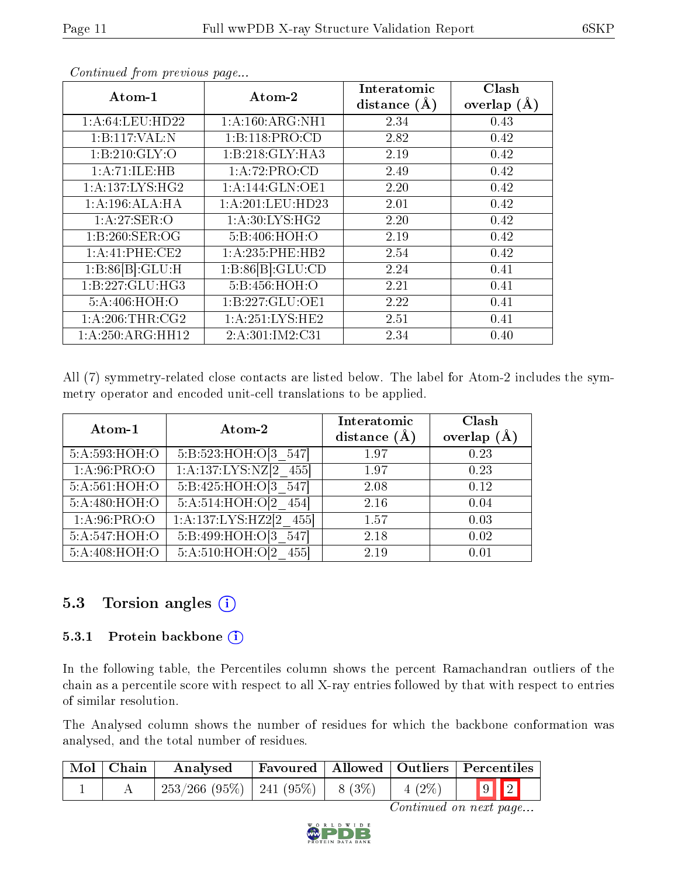| Atom-1                        | Atom-2                        | Interatomic<br>distance $(A)$ | Clash<br>overlap $(\AA)$ |
|-------------------------------|-------------------------------|-------------------------------|--------------------------|
| 1: A:64:LEU:HD22              | $1: A:160:ARG:\overline{NH1}$ | 2.34                          | 0.43                     |
| 1:B:117:VAL:N                 | 1:B:118:PRO:CD                | 2.82                          | 0.42                     |
| 1:B:210:GLY:O                 | 1:B:218:GLY:HA3               | 2.19                          | 0.42                     |
| 1:A:71:ILE:HB                 | 1:A:72:PRO:CD                 | 2.49                          | 0.42                     |
| 1: A: 137: LYS: HG2           | 1:A:144:GLN:OE1               | 2.20                          | 0.42                     |
| 1:A:196:ALA:HA                | 1:A:201:LEU:HD23              | 2.01                          | 0.42                     |
| 1: A:27: SER:O                | 1: A:30: LYS: HG2             | 2.20                          | 0.42                     |
| 1:B:260:SER:OG                | 5:B:406:HOH:O                 | 2.19                          | 0.42                     |
| 1:A:41:PHE:CE2                | 1: A: 235: PHE: HB2           | 2.54                          | 0.42                     |
| 1:B:86[B]:GLU:H               | 1:B:86[B]:GLU:CD              | 2.24                          | 0.41                     |
| 1:B:227:GLU:HG3               | 5:B:456:HOH:O                 | 2.21                          | 0.41                     |
| 5:A:406:HOH:O                 | 1:B:227:GLU:OE1               | 2.22                          | 0.41                     |
| 1: A:206:THR:CG2              | 1:A:251:LYS:HE2               | 2.51                          | 0.41                     |
| $1:A:250:A\overline{RG:HH12}$ | 2:A:301:IM2:C31               | 2.34                          | 0.40                     |

All (7) symmetry-related close contacts are listed below. The label for Atom-2 includes the symmetry operator and encoded unit-cell translations to be applied.

| Atom-1         | Atom-2                    | Interatomic<br>distance $(\AA)$ | Clash<br>overlap $(A)$ |
|----------------|---------------------------|---------------------------------|------------------------|
| 5:A:593:HOH:O  | 5:B:523:HOH:O[3 547]      | 1.97                            | 0.23                   |
| 1: A:96:PRO:O  | $1:A:137:LYS:NZ[2 \ 455]$ | 1.97                            | 0.23                   |
| 5:A:561:HOH:O  | 5:B:425:HOH:O[3 547]      | 2.08                            | 0.12                   |
| 5:A:480:HOH:O  | 5:A:514:HOH:O[2 454]      | 2.16                            | 0.04                   |
| 1: A:96: PRO:O | 1:A:137:LYS:HZ2[2 455]    | 1.57                            | 0.03                   |
| 5:A:547:HOH:O  | 5:B:499:HOH:O[3 547]      | 2.18                            | 0.02                   |
| 5:A:408:HOH:O  | 5:A:510:HOH:O[2]<br>455   | 2.19                            | 0.01                   |

### 5.3 Torsion angles (i)

#### 5.3.1 Protein backbone (i)

In the following table, the Percentiles column shows the percent Ramachandran outliers of the chain as a percentile score with respect to all X-ray entries followed by that with respect to entries of similar resolution.

The Analysed column shows the number of residues for which the backbone conformation was analysed, and the total number of residues.

| $\mid$ Mol $\mid$ Chain $\mid$ | Analysed                                |  |           | Favoured   Allowed   Outliers   Percentiles |
|--------------------------------|-----------------------------------------|--|-----------|---------------------------------------------|
|                                | $253/266$ (95\%)   241 (95\%)   8 (3\%) |  | $-4(2\%)$ | $\boxed{9}$ $\boxed{2}$                     |

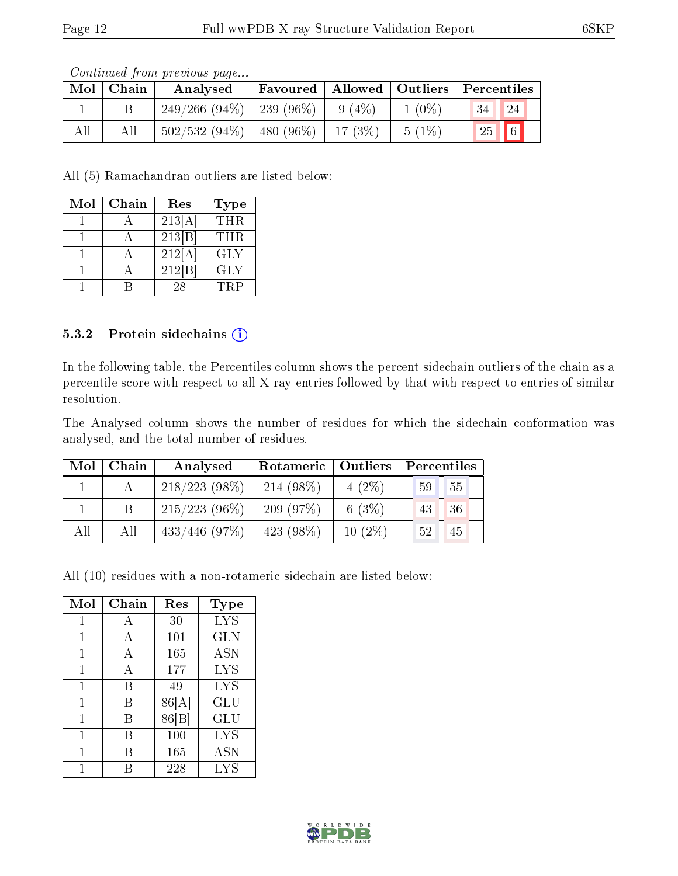|     | Mol   Chain | Contentation provided to page<br>Analysed | Favoured   Allowed   Outliers   Percentiles |           |          |               |    |
|-----|-------------|-------------------------------------------|---------------------------------------------|-----------|----------|---------------|----|
|     |             | $249/266$ (94\%)   239 (96\%)             |                                             | $9(4\%)$  | $1(0\%)$ | 34            | 24 |
| All | All         | $502/532(94\%)$                           | 480 (96%)                                   | $-17(3%)$ | $5(1\%)$ | $\sqrt{25}$ 6 |    |

All (5) Ramachandran outliers are listed below:

| Mol | Chain | Res    | <b>Type</b> |
|-----|-------|--------|-------------|
|     |       | 213[A] | <b>THR</b>  |
|     |       | 213 B  | <b>THR</b>  |
|     |       | 212[A] | <b>GLY</b>  |
|     |       | 212 B  | GLY         |
|     |       | 28     | TRP         |

#### 5.3.2 Protein sidechains  $(i)$

In the following table, the Percentiles column shows the percent sidechain outliers of the chain as a percentile score with respect to all X-ray entries followed by that with respect to entries of similar resolution.

The Analysed column shows the number of residues for which the sidechain conformation was analysed, and the total number of residues.

| Mol | $\mid$ Chain $\mid$ | Analysed         |              |           | Rotameric   Outliers   Percentiles |  |  |
|-----|---------------------|------------------|--------------|-----------|------------------------------------|--|--|
|     |                     | $218/223(98\%)$  | $214(98\%)$  | $4(2\%)$  | 55<br>59                           |  |  |
|     |                     | $215/223(96\%)$  | 209(97%)     | 6 $(3%)$  | 36 <br>43                          |  |  |
| All | All                 | $433/446$ (97\%) | 423 $(98\%)$ | $10(2\%)$ | 45<br>52                           |  |  |

All (10) residues with a non-rotameric sidechain are listed below:

| Mol | Chain | Res   | Type       |
|-----|-------|-------|------------|
| 1   | А     | 30    | <b>LYS</b> |
| 1   | A     | 101   | <b>GLN</b> |
| 1   | A     | 165   | <b>ASN</b> |
| 1   | A     | 177   | <b>LYS</b> |
| 1   | В     | 49    | <b>LYS</b> |
| 1   | В     | 86[A] | GLU        |
| 1   | B     | 86 B  | GLU        |
| 1   | R     | 100   | <b>LYS</b> |
|     |       | 165   | ASN        |
|     |       | 228   | LYS        |

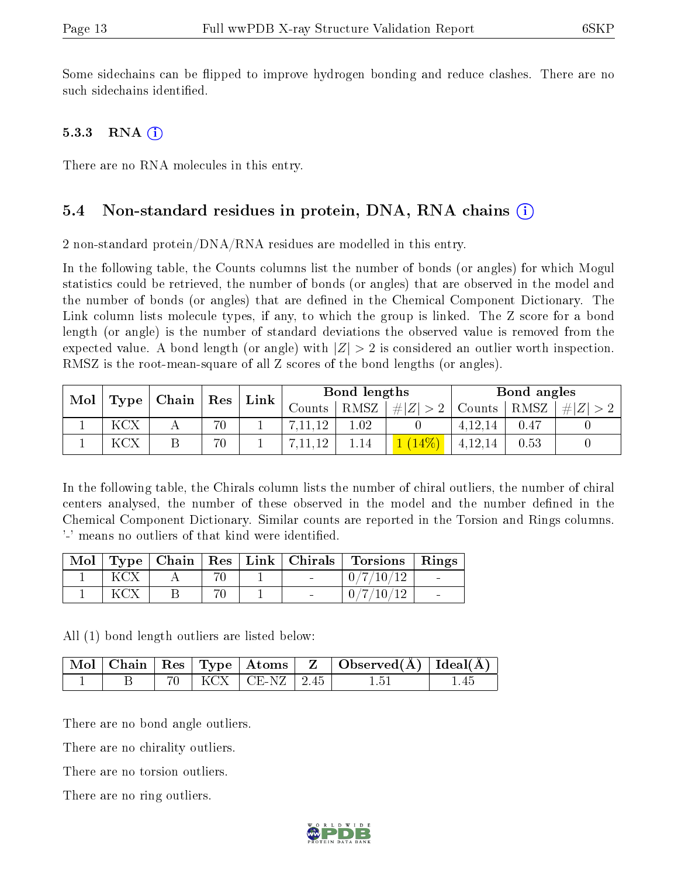Some sidechains can be flipped to improve hydrogen bonding and reduce clashes. There are no such sidechains identified.

#### 5.3.3 RNA  $(i)$

There are no RNA molecules in this entry.

#### 5.4 Non-standard residues in protein, DNA, RNA chains (i)

2 non-standard protein/ $DNA/RNA$  residues are modelled in this entry.

In the following table, the Counts columns list the number of bonds (or angles) for which Mogul statistics could be retrieved, the number of bonds (or angles) that are observed in the model and the number of bonds (or angles) that are defined in the Chemical Component Dictionary. The Link column lists molecule types, if any, to which the group is linked. The Z score for a bond length (or angle) is the number of standard deviations the observed value is removed from the expected value. A bond length (or angle) with  $|Z| > 2$  is considered an outlier worth inspection. RMSZ is the root-mean-square of all Z scores of the bond lengths (or angles).

| Mol |            | $\vert$ Type   Chain $\vert$ | $\perp$ Res | Link | Bond lengths |          |             |         | Bond angles |     |
|-----|------------|------------------------------|-------------|------|--------------|----------|-------------|---------|-------------|-----|
|     |            |                              |             |      | Counts       | RMSZ     | # $ Z  > 2$ | Counts  | RMSZ        | H Z |
|     | <b>KCX</b> |                              | 70          |      |              | $.02\,$  |             | 4.12.14 | 0.47        |     |
|     | KCX        |                              | 70          |      |              | $1.14\,$ |             | 4,12,14 | 0.53        |     |

In the following table, the Chirals column lists the number of chiral outliers, the number of chiral centers analysed, the number of these observed in the model and the number defined in the Chemical Component Dictionary. Similar counts are reported in the Torsion and Rings columns. '-' means no outliers of that kind were identified.

| Mol |  |  | Type   Chain   Res   Link   Chirals   Torsions   Rings |  |
|-----|--|--|--------------------------------------------------------|--|
|     |  |  | 0/7/10/12                                              |  |
|     |  |  | 0/7/10/12                                              |  |

All (1) bond length outliers are listed below:

|  |  |                           | $\vert$ Mol $\vert$ Chain $\vert$ Res $\vert$ Type $\vert$ Atoms $\vert$ Z $\vert$ Observed(A) $\vert$ Ideal(A) $\vert$ |      |
|--|--|---------------------------|-------------------------------------------------------------------------------------------------------------------------|------|
|  |  | $70$   KCX   CE-NZ   2.45 | 1.51                                                                                                                    | 1.45 |

There are no bond angle outliers.

There are no chirality outliers.

There are no torsion outliers.

There are no ring outliers.

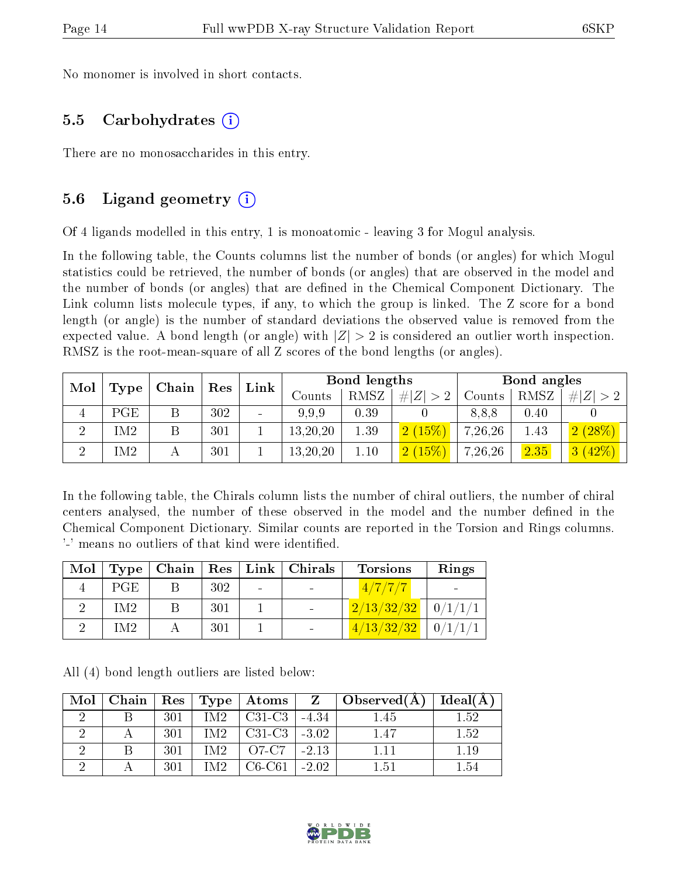No monomer is involved in short contacts.

#### 5.5 Carbohydrates (i)

There are no monosaccharides in this entry.

### 5.6 Ligand geometry (i)

Of 4 ligands modelled in this entry, 1 is monoatomic - leaving 3 for Mogul analysis.

In the following table, the Counts columns list the number of bonds (or angles) for which Mogul statistics could be retrieved, the number of bonds (or angles) that are observed in the model and the number of bonds (or angles) that are dened in the Chemical Component Dictionary. The Link column lists molecule types, if any, to which the group is linked. The Z score for a bond length (or angle) is the number of standard deviations the observed value is removed from the expected value. A bond length (or angle) with  $|Z| > 2$  is considered an outlier worth inspection. RMSZ is the root-mean-square of all Z scores of the bond lengths (or angles).

| Mol |      | Chain | Res | Link                     |            | Bond lengths |             | Bond angles |      |                         |
|-----|------|-------|-----|--------------------------|------------|--------------|-------------|-------------|------|-------------------------|
|     | Type |       |     |                          | Counts     | <b>RMSZ</b>  | # $ Z  > 2$ | Counts      | RMSZ | # $ Z  > 2$             |
|     | PGE  |       | 302 | $\overline{\phantom{a}}$ | 9,9,9      | 0.39         |             | 8,8,8       | 0.40 |                         |
| ച   | M2]  |       | 301 |                          | 13, 20, 20 | 1.39         | 2(15%)      | 7,26,26     | 1.43 | 2(28%)                  |
| ച   | IM2  |       | 301 |                          | 13, 20, 20 | 1.10         | 2(15%)      | 7,26,26     | 2.35 | (42%)<br>3 <sup>°</sup> |

In the following table, the Chirals column lists the number of chiral outliers, the number of chiral centers analysed, the number of these observed in the model and the number defined in the Chemical Component Dictionary. Similar counts are reported in the Torsion and Rings columns. '-' means no outliers of that kind were identified.

| Mol | Type <sub>1</sub> |     | $\mid$ Chain $\mid$ Res $\mid$ Link $\mid$ Chirals | <b>Torsions</b>          | Rings |
|-----|-------------------|-----|----------------------------------------------------|--------------------------|-------|
|     | PGE               | 302 |                                                    | 4/7/7/7                  |       |
|     | IM <sub>2</sub>   | 301 |                                                    | $2/13/32/32$   $0/1/1/1$ |       |
|     | IM2               | 301 |                                                    | $4/13/32/32$   $0/1/1/1$ |       |

|  |  |  |  | All (4) bond length outliers are listed below: |  |  |  |
|--|--|--|--|------------------------------------------------|--|--|--|
|--|--|--|--|------------------------------------------------|--|--|--|

| Mol | Chain |     | $\mid$ Res $\mid$ Type $\mid$ | $\pm$ Atoms $\pm$ |         | $\overline{Z}$   Observed(A) | Ideal(A) |
|-----|-------|-----|-------------------------------|-------------------|---------|------------------------------|----------|
|     |       | 301 | IM2.                          | $C31-C3$          | $-4.34$ | 1.45                         | $1.52\,$ |
|     |       | 301 | IM2.                          | $C31-C3$          | $-3.02$ | 1.47                         | 1.52     |
|     |       | 301 | IM2                           | O7-C7             | $-2.13$ |                              | .19      |
|     |       | 301 | IM2.                          | C6-C61            | $-2.02$ | 1.51                         | -54      |

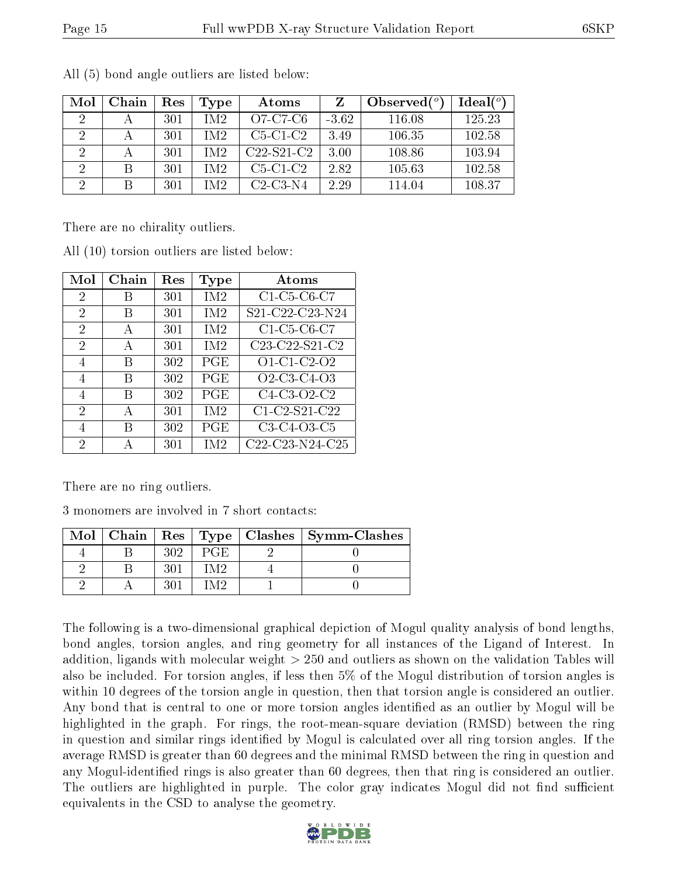| Mol           | Chain | Res | Type | Atoms        |         | Observed $(°)$ | Ideal $(°)$ |
|---------------|-------|-----|------|--------------|---------|----------------|-------------|
| $\mathcal{D}$ |       | 301 | IM2. | O7-C7-C6     | $-3.62$ | 116.08         | 125.23      |
|               |       | 301 | IM2. | $C5-C1-C2$   | 3.49    | 106.35         | 102.58      |
| 2             |       | 301 | IM2  | $C22-S21-C2$ | 3.00    | 108.86         | 103.94      |
|               | B     | 301 | IM2. | $C5-C1-C2$   | 2.82    | 105.63         | 102.58      |
| റ             |       | 301 | IM2  | $C2-C3-N4$   | 2.29    | 114.04         | 108.37      |

All (5) bond angle outliers are listed below:

There are no chirality outliers.

| Mol            | Chain | Res | Type            | Atoms                                                          |
|----------------|-------|-----|-----------------|----------------------------------------------------------------|
| $\overline{2}$ | В     | 301 | IM <sub>2</sub> | C1-C5-C6-C7                                                    |
| 2              | B     | 301 | IM <sub>2</sub> | S21-C22-C23-N24                                                |
| 2              | А     | 301 | IM <sub>2</sub> | C1-C5-C6-C7                                                    |
| 2              | А     | 301 | IM2             | C23-C22-S21-C2                                                 |
| 4              | B     | 302 | PGE             | O1-C1-C2-O2                                                    |
| 4              | В     | 302 | PGE             | O <sub>2</sub> -C <sub>3</sub> -C <sub>4</sub> -O <sub>3</sub> |
| 4              | В     | 302 | PGE             | C4-C3-O2-C2                                                    |
| 2              | А     | 301 | IM <sub>2</sub> | C1-C2-S21-C22                                                  |
| 4              | R     | 302 | PGE             | C3-C4-O3-C5                                                    |
| 2              |       | 301 | IM2             | C22-C23-N24-C25                                                |

All (10) torsion outliers are listed below:

There are no ring outliers.

3 monomers are involved in 7 short contacts:

|  |      | Mol   Chain   Res   Type   Clashes   Symm-Clashes |
|--|------|---------------------------------------------------|
|  | PGE. |                                                   |
|  | MЭ   |                                                   |
|  |      |                                                   |

The following is a two-dimensional graphical depiction of Mogul quality analysis of bond lengths, bond angles, torsion angles, and ring geometry for all instances of the Ligand of Interest. In addition, ligands with molecular weight > 250 and outliers as shown on the validation Tables will also be included. For torsion angles, if less then 5% of the Mogul distribution of torsion angles is within 10 degrees of the torsion angle in question, then that torsion angle is considered an outlier. Any bond that is central to one or more torsion angles identified as an outlier by Mogul will be highlighted in the graph. For rings, the root-mean-square deviation (RMSD) between the ring in question and similar rings identified by Mogul is calculated over all ring torsion angles. If the average RMSD is greater than 60 degrees and the minimal RMSD between the ring in question and any Mogul-identified rings is also greater than 60 degrees, then that ring is considered an outlier. The outliers are highlighted in purple. The color gray indicates Mogul did not find sufficient equivalents in the CSD to analyse the geometry.

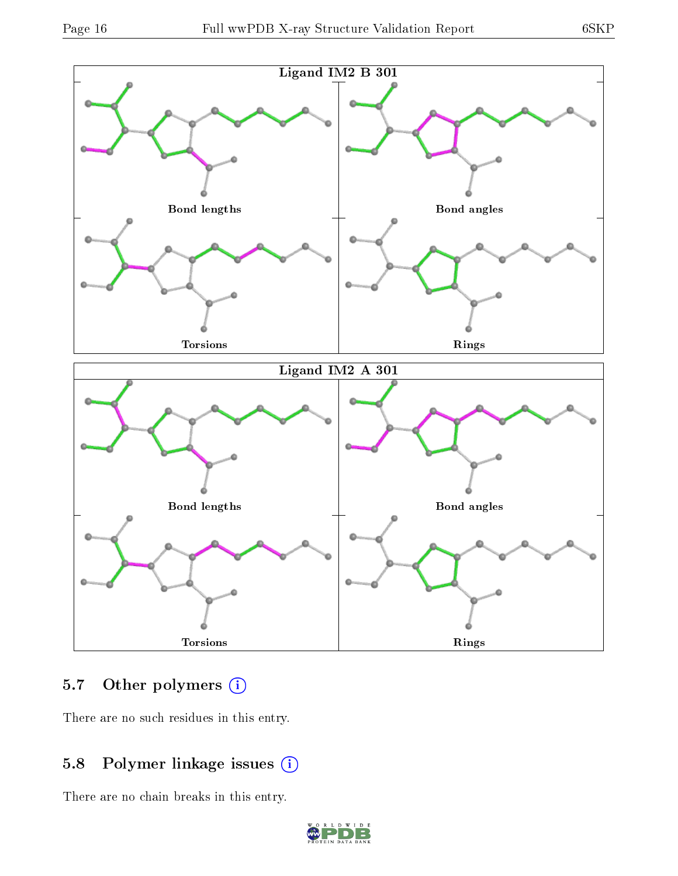

## 5.7 [O](https://www.wwpdb.org/validation/2017/XrayValidationReportHelp#nonstandard_residues_and_ligands)ther polymers (i)

There are no such residues in this entry.

### 5.8 Polymer linkage issues (i)

There are no chain breaks in this entry.

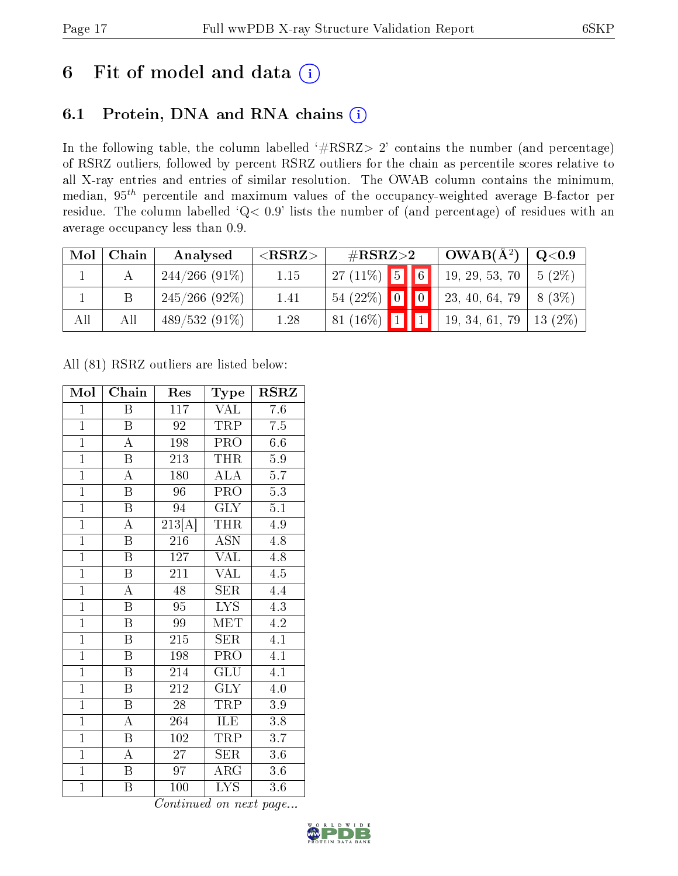## 6 Fit of model and data  $(i)$

### 6.1 Protein, DNA and RNA chains  $(i)$

In the following table, the column labelled  $#RSRZ> 2'$  contains the number (and percentage) of RSRZ outliers, followed by percent RSRZ outliers for the chain as percentile scores relative to all X-ray entries and entries of similar resolution. The OWAB column contains the minimum, median,  $95<sup>th</sup>$  percentile and maximum values of the occupancy-weighted average B-factor per residue. The column labelled ' $Q< 0.9$ ' lists the number of (and percentage) of residues with an average occupancy less than 0.9.

| Mol | Chain | Analysed         | ${ <\hspace{-1.5pt}{\mathrm{RSRZ}} \hspace{-1.5pt}>}$ | $\#\text{RSRZ}\text{>2}$         |  | $OWAB(A^2)$ | $Q<$ 0.9       |            |
|-----|-------|------------------|-------------------------------------------------------|----------------------------------|--|-------------|----------------|------------|
|     |       | $244/266$ (91\%) | 1.15                                                  | $27(11\%)$ 5 6                   |  |             | 19, 29, 53, 70 | $5(2\%)$   |
|     |       | $245/266$ (92\%) | 1.41                                                  | 54 (22%) $\boxed{0}$ $\boxed{0}$ |  |             | 23, 40, 64, 79 | $8(3\%)$   |
| All | Αll   | $489/532(91\%)$  | 1.28                                                  | 81 $(16\%)$                      |  |             | 19, 34, 61, 79 | 13 $(2\%)$ |

All (81) RSRZ outliers are listed below:

| Mol            | Chain                   | Res                 | Type                    | <b>RSRZ</b>      |
|----------------|-------------------------|---------------------|-------------------------|------------------|
| $\mathbf{1}$   | Β                       | 117                 | VAL                     | 7.6              |
| $\mathbf{1}$   | B                       | 92                  | TRP                     | 7.5              |
| $\overline{1}$ | $\overline{\rm A}$      | 198                 | PRO                     | 6.6              |
| $\mathbf{1}$   | B                       | 213                 | <b>THR</b>              | 5.9              |
| $\overline{1}$ | $\overline{\rm A}$      | 180                 | $\overline{\rm ALA}$    | $\overline{5.7}$ |
| $\overline{1}$ | $\boldsymbol{B}$        | 96                  | PRO                     | $\overline{5.3}$ |
| $\overline{1}$ | $\overline{\mathrm{B}}$ | 94                  | <b>GLY</b>              | 5.1              |
| $\overline{1}$ | A                       | $\overline{213[A]}$ | THR                     | 4.9              |
| $\overline{1}$ | $\overline{\mathrm{B}}$ | 216                 | <b>ASN</b>              | 4.8              |
| $\overline{1}$ | $\overline{\mathrm{B}}$ | 127                 | $\overline{\text{VAL}}$ | 4.8              |
| $\overline{1}$ | $\overline{\mathrm{B}}$ | 211                 | <b>VAL</b>              | 4.5              |
| $\overline{1}$ | $\overline{\rm A}$      | $\overline{48}$     | $\overline{\text{SER}}$ | 4.4              |
| $\overline{1}$ | $\overline{\mathrm{B}}$ | 95                  | <b>LYS</b>              | 4.3              |
| $\overline{1}$ | $\overline{\mathrm{B}}$ | 99                  | MET                     | 4.2              |
| $\overline{1}$ | $\overline{\mathrm{B}}$ | 215                 | SER                     | 4.1              |
| $\mathbf{1}$   | $\boldsymbol{B}$        | 198                 | PRO <sub></sub>         | 4.1              |
| $\overline{1}$ | $\overline{\mathrm{B}}$ | 214                 | $\overline{{\rm GLU}}$  | $\overline{4.1}$ |
| $\overline{1}$ | $\boldsymbol{B}$        | 212                 | GLY                     | 4.0              |
| $\overline{1}$ | $\overline{\mathrm{B}}$ | 28                  | TRP                     | $3.9\,$          |
| $\overline{1}$ | $\overline{\rm A}$      | 264                 | <b>ILE</b>              | 3.8              |
| $\overline{1}$ | $\overline{\mathrm{B}}$ | $\overline{102}$    | TRP                     | 3.7              |
| $\overline{1}$ | А                       | $\overline{27}$     | <b>SER</b>              | 3.6              |
| $\overline{1}$ | $\boldsymbol{B}$        | 97                  | $\rm{ARG}$              | $3.6\,$          |
| $\overline{1}$ | Β                       | 100                 | <b>LYS</b>              | 3.6              |

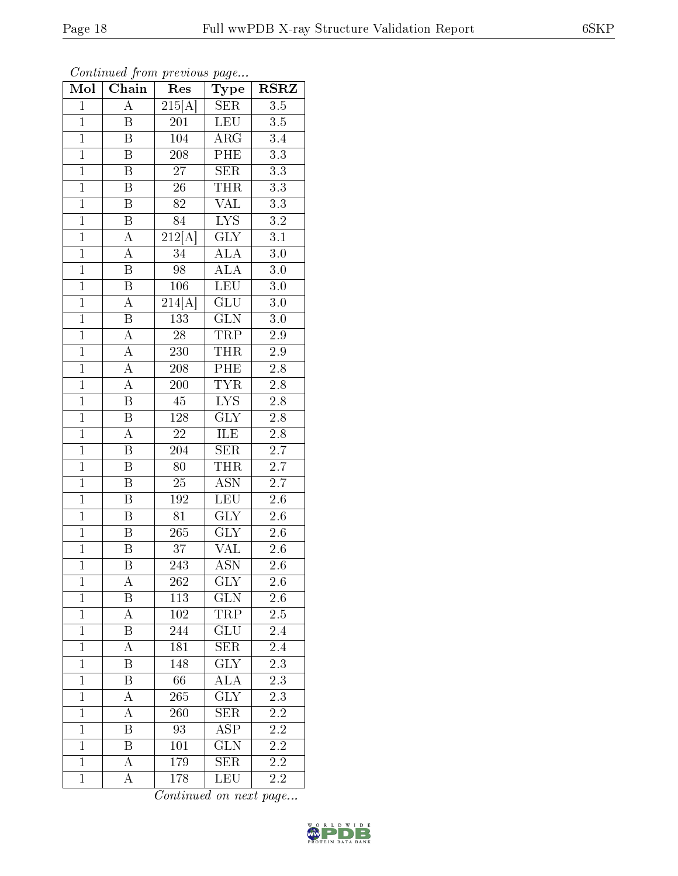| $\mathbf{1}$   | Β                | 84     | <b>LYS</b>              | 3.2 |  |
|----------------|------------------|--------|-------------------------|-----|--|
| $\overline{1}$ | $\boldsymbol{A}$ | 212[A] | <b>GLY</b>              | 3.1 |  |
| $\overline{1}$ | $\boldsymbol{A}$ | 34     | $\rm AL\overline{A}$    | 3.0 |  |
| $\overline{1}$ | $\mathbf B$      | 98     | <b>ALA</b>              | 3.0 |  |
| $\overline{1}$ | $\mathbf B$      | 106    | LEU                     | 3.0 |  |
| $\overline{1}$ | А                | 214[A] | GLU                     | 3.0 |  |
| $\overline{1}$ | B                | 133    | <b>GLN</b>              | 3.0 |  |
| $\overline{1}$ | $\boldsymbol{A}$ | 28     | TRP                     | 2.9 |  |
| $\overline{1}$ | $\boldsymbol{A}$ | 230    | THR                     | 2.9 |  |
| $\overline{1}$ | A                | 208    | PHE                     | 2.8 |  |
| $\overline{1}$ | A                | 200    | <b>TYR</b>              | 2.8 |  |
| $\overline{1}$ | B                | 45     | <b>LYS</b>              | 2.8 |  |
| $\overline{1}$ | Β                | 128    | $\rm GLY$               | 2.8 |  |
| $\overline{1}$ | $\boldsymbol{A}$ | 22     | ILE                     | 2.8 |  |
| $\overline{1}$ | B                | 204    | SER                     | 2.7 |  |
| $\overline{1}$ | B                | 80     | THR                     | 2.7 |  |
| $\overline{1}$ | B                | 25     | ASN                     | 2.7 |  |
| $\overline{1}$ | B                | 192    | LEU                     | 2.6 |  |
| $\overline{1}$ | $\overline{B}$   | 81     | <b>GLY</b>              | 2.6 |  |
| $\overline{1}$ | $\boldsymbol{B}$ | 265    | $\text{GL}\overline{Y}$ | 2.6 |  |
| $\overline{1}$ | Β                | 37     | VAL                     | 2.6 |  |

Mol Chain Res Type RSRZ  $1 \mid A \mid 215[A] \mid \text{SER} \mid 3.5$ 1 B 201 LEU 3.5 1 | B | 104 | ARG | 3.4 1 B 208 PHE 3.3 1 B 27 SER 3.3

1 B 26 THR 3.3<br>1 B 82 VAL 3.3

1 | B | 243 | ASN | 2.6 1 A 262 GLY 2.6 1 B 113 GLN 2.6 1 | A | 102 | TRP | 2.5 1 | B | 244 | GLU | 2.4 1 | A | 181 | SER | 2.4

1 B 148 GLY 2.3<br>1 B 66 ALA 2.3

1 | A | 265 | GLY | 2.3 1 A 260 SER 2.2 1 B 93 ASP 2.2

1 B 101 GLN 2.2<br>1 A 179 SER 2.2

1 A 178 LEU 2.2

1 | B | 66 | ALA

1 | A | 179 | SER

1 B 82 VAL

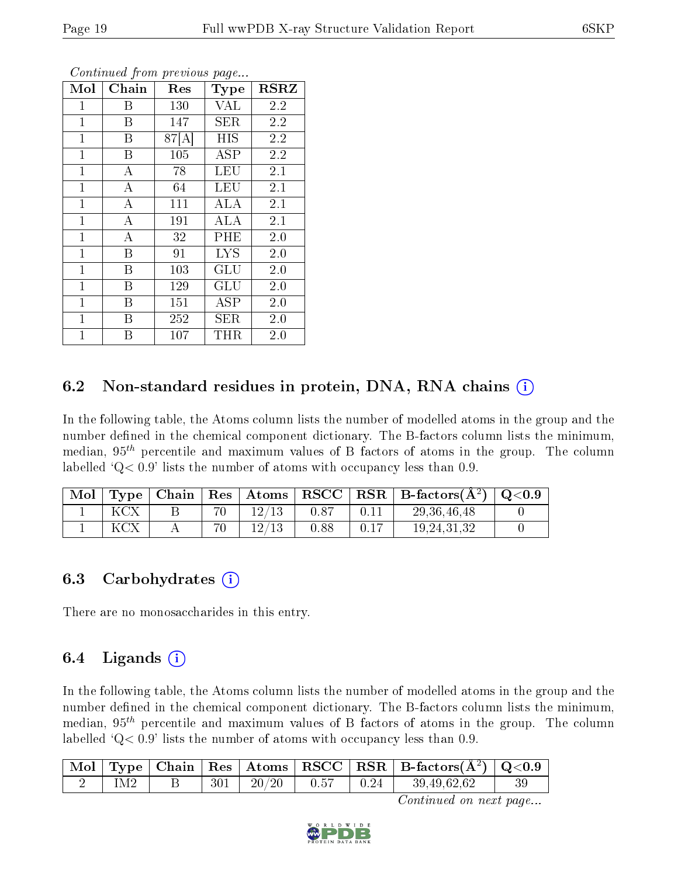| Mol          | Chain          | Res   | <b>Type</b> | <b>RSRZ</b> |
|--------------|----------------|-------|-------------|-------------|
| $\mathbf{1}$ | Β              | 130   | <b>VAL</b>  | 2.2         |
| $\mathbf{1}$ | B              | 147   | SER         | $2.2\,$     |
| $\mathbf{1}$ | Β              | 87[A] | <b>HIS</b>  | 2.2         |
| $\mathbf{1}$ | B              | 105   | ASP         | 2.2         |
| $\mathbf{1}$ | $\bf{A}$       | 78    | LEU         | 2.1         |
| 1            | A              | 64    | <b>LEU</b>  | 2.1         |
| $\mathbf{1}$ | $\bf{A}$       | 111   | ALA         | 2.1         |
| $\mathbf{1}$ | $\overline{A}$ | 191   | ALA         | 2.1         |
| $\mathbf{1}$ | $\bf{A}$       | 32    | PHE         | 2.0         |
| $\mathbf{1}$ | B              | 91    | <b>LYS</b>  | 2.0         |
| $\mathbf{1}$ | B              | 103   | GLU         | 2.0         |
| $\mathbf{1}$ | B              | 129   | GLU         | 2.0         |
| $\mathbf{1}$ | B              | 151   | ASP         | 2.0         |
| $\mathbf{1}$ | B              | 252   | SER         | 2.0         |
| $\mathbf{1}$ | Β              | 107   | THR         | 2.0         |

#### 6.2 Non-standard residues in protein, DNA, RNA chains (i)

In the following table, the Atoms column lists the number of modelled atoms in the group and the number defined in the chemical component dictionary. The B-factors column lists the minimum, median,  $95<sup>th</sup>$  percentile and maximum values of B factors of atoms in the group. The column labelled  $Q< 0.9$ ' lists the number of atoms with occupancy less than 0.9.

|  |  |       |      |      | $\vert$ Mol $\vert$ Type $\vert$ Chain $\vert$ Res $\vert$ Atoms $\vert$ RSCC $\vert$ RSR $\vert$ B-factors(A <sup>2</sup> ) $\vert$ Q<0.9 |  |
|--|--|-------|------|------|--------------------------------------------------------------------------------------------------------------------------------------------|--|
|  |  | 12/13 | 0.87 |      | 29, 36, 46, 48                                                                                                                             |  |
|  |  | 12/13 | 0.88 | 0.17 | 19.24.31.32                                                                                                                                |  |

#### 6.3 Carbohydrates (i)

There are no monosaccharides in this entry.

### 6.4 Ligands  $(i)$

In the following table, the Atoms column lists the number of modelled atoms in the group and the number defined in the chemical component dictionary. The B-factors column lists the minimum, median,  $95<sup>th</sup>$  percentile and maximum values of B factors of atoms in the group. The column labelled  $Q< 0.9$ ' lists the number of atoms with occupancy less than 0.9.

|  |  |                       |                                 |              | $\mid$ Mol $\mid$ Type $\mid$ Chain $\mid$ Res $\mid$ Atoms $\mid$ RSCC $\mid$ RSR $\mid$ B-factors(A <sup>2</sup> ) $\mid$ Q<0.9 |  |
|--|--|-----------------------|---------------------------------|--------------|-----------------------------------------------------------------------------------------------------------------------------------|--|
|  |  | $301 \mid 20/20 \mid$ | $\sim$ 1 $0.57$ $^{-1}$ $^{-1}$ | $\perp$ 0.24 | 39,49,62,62                                                                                                                       |  |

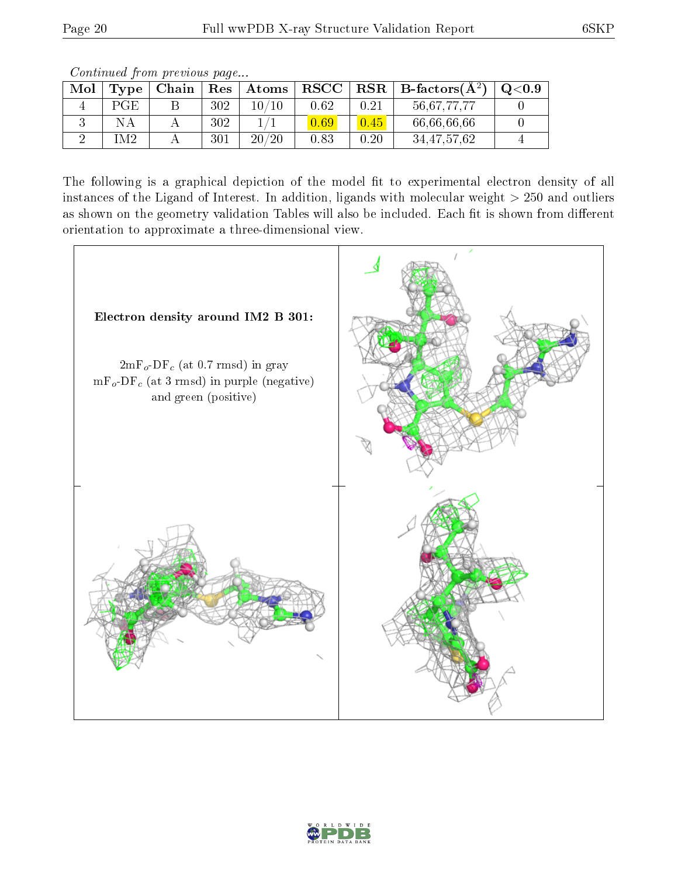Continued from previous page...

| Mol | Type           | Chain | Res | Atoms | RSCC |      | $R$ RSR $\parallel$ B-factors( $A^2$ ) | Q <sub>0.9</sub> |
|-----|----------------|-------|-----|-------|------|------|----------------------------------------|------------------|
|     | PGE.           |       | 302 | ، 10  | 0.62 | 0.21 | 56,67,77,77                            |                  |
|     | NΑ             |       | 302 |       |      | 0.45 | 66,66,66,66                            |                  |
|     | M <sub>2</sub> |       | 301 | 20/20 | 0.83 | 0.20 | 34, 47, 57, 62                         |                  |

The following is a graphical depiction of the model fit to experimental electron density of all instances of the Ligand of Interest. In addition, ligands with molecular weight  $> 250$  and outliers as shown on the geometry validation Tables will also be included. Each fit is shown from different orientation to approximate a three-dimensional view.